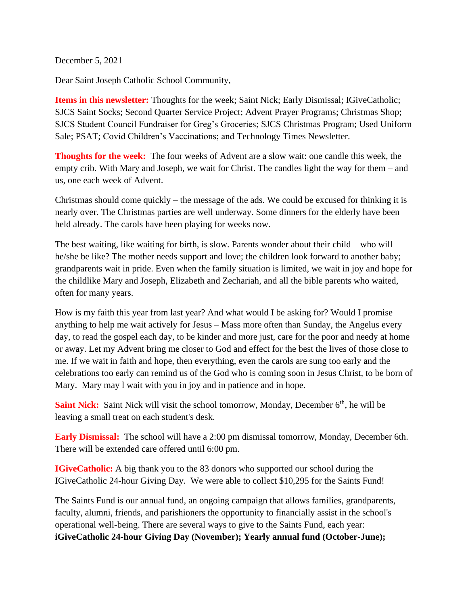December 5, 2021

Dear Saint Joseph Catholic School Community,

**Items in this newsletter:** Thoughts for the week; Saint Nick; Early Dismissal; IGiveCatholic; SJCS Saint Socks; Second Quarter Service Project; Advent Prayer Programs; Christmas Shop; SJCS Student Council Fundraiser for Greg's Groceries; SJCS Christmas Program; Used Uniform Sale; PSAT; Covid Children's Vaccinations; and Technology Times Newsletter.

**Thoughts for the week:** The four weeks of Advent are a slow wait: one candle this week, the empty crib. With Mary and Joseph, we wait for Christ. The candles light the way for them – and us, one each week of Advent.

Christmas should come quickly – the message of the ads. We could be excused for thinking it is nearly over. The Christmas parties are well underway. Some dinners for the elderly have been held already. The carols have been playing for weeks now.

The best waiting, like waiting for birth, is slow. Parents wonder about their child – who will he/she be like? The mother needs support and love; the children look forward to another baby; grandparents wait in pride. Even when the family situation is limited, we wait in joy and hope for the childlike Mary and Joseph, Elizabeth and Zechariah, and all the bible parents who waited, often for many years.

How is my faith this year from last year? And what would I be asking for? Would I promise anything to help me wait actively for Jesus – Mass more often than Sunday, the Angelus every day, to read the gospel each day, to be kinder and more just, care for the poor and needy at home or away. Let my Advent bring me closer to God and effect for the best the lives of those close to me. If we wait in faith and hope, then everything, even the carols are sung too early and the celebrations too early can remind us of the God who is coming soon in Jesus Christ, to be born of Mary. Mary may l wait with you in joy and in patience and in hope.

Saint Nick: Saint Nick will visit the school tomorrow, Monday, December 6<sup>th</sup>, he will be leaving a small treat on each student's desk.

**Early Dismissal:** The school will have a 2:00 pm dismissal tomorrow, Monday, December 6th. There will be extended care offered until 6:00 pm.

**IGiveCatholic:** A big thank you to the 83 donors who supported our school during the IGiveCatholic 24-hour Giving Day. We were able to collect \$10,295 for the Saints Fund!

The Saints Fund is our annual fund, an ongoing campaign that allows families, grandparents, faculty, alumni, friends, and parishioners the opportunity to financially assist in the school's operational well-being. There are several ways to give to the Saints Fund, each year: **iGiveCatholic 24-hour Giving Day (November); Yearly annual fund (October-June);**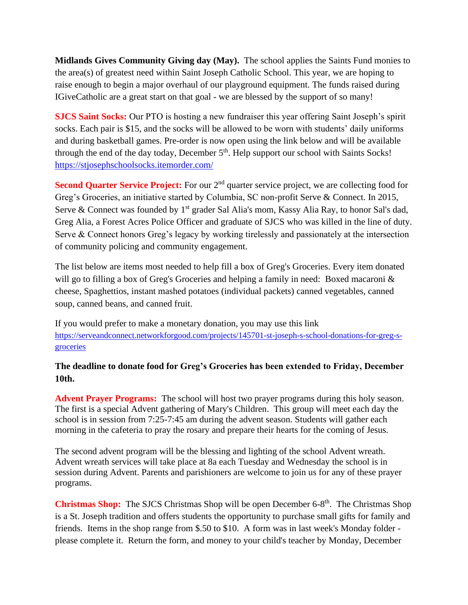**Midlands Gives Community Giving day (May).** The school applies the Saints Fund monies to the area(s) of greatest need within Saint Joseph Catholic School. This year, we are hoping to raise enough to begin a major overhaul of our playground equipment. The funds raised during IGiveCatholic are a great start on that goal - we are blessed by the support of so many!

**SJCS Saint Socks:** Our PTO is hosting a new fundraiser this year offering Saint Joseph's spirit socks. Each pair is \$15, and the socks will be allowed to be worn with students' daily uniforms and during basketball games. Pre-order is now open using the link below and will be available through the end of the day today, December 5<sup>th</sup>. Help support our school with Saints Socks! <https://stjosephschoolsocks.itemorder.com/>

**Second Quarter Service Project:** For our 2<sup>nd</sup> quarter service project, we are collecting food for Greg's Groceries, an initiative started by Columbia, SC non-profit Serve & Connect. In 2015, Serve & Connect was founded by 1<sup>st</sup> grader Sal Alia's mom, Kassy Alia Ray, to honor Sal's dad, Greg Alia, a Forest Acres Police Officer and graduate of SJCS who was killed in the line of duty. Serve & Connect honors Greg's legacy by working tirelessly and passionately at the intersection of community policing and community engagement.

The list below are items most needed to help fill a box of Greg's Groceries. Every item donated will go to filling a box of Greg's Groceries and helping a family in need: Boxed macaroni & cheese, Spaghettios, instant mashed potatoes (individual packets) canned vegetables, canned soup, canned beans, and canned fruit.

If you would prefer to make a monetary donation, you may use this link [https://serveandconnect.networkforgood.com/projects/145701-st-joseph-s-school-donations-for-greg-s](https://serveandconnect.networkforgood.com/projects/145701-st-joseph-s-school-donations-for-greg-s-groceries)[groceries](https://serveandconnect.networkforgood.com/projects/145701-st-joseph-s-school-donations-for-greg-s-groceries)

## **The deadline to donate food for Greg's Groceries has been extended to Friday, December 10th.**

**Advent Prayer Programs:** The school will host two prayer programs during this holy season. The first is a special Advent gathering of Mary's Children. This group will meet each day the school is in session from 7:25-7:45 am during the advent season. Students will gather each morning in the cafeteria to pray the rosary and prepare their hearts for the coming of Jesus.

The second advent program will be the blessing and lighting of the school Advent wreath. Advent wreath services will take place at 8a each Tuesday and Wednesday the school is in session during Advent. Parents and parishioners are welcome to join us for any of these prayer programs.

**Christmas Shop:** The SJCS Christmas Shop will be open December 6-8<sup>th</sup>. The Christmas Shop is a St. Joseph tradition and offers students the opportunity to purchase small gifts for family and friends. Items in the shop range from \$.50 to \$10. A form was in last week's Monday folder please complete it. Return the form, and money to your child's teacher by Monday, December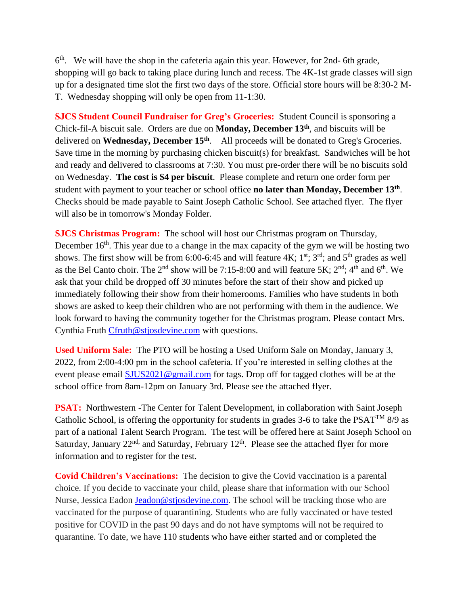6<sup>th</sup>. We will have the shop in the cafeteria again this year. However, for 2nd-6th grade, shopping will go back to taking place during lunch and recess. The 4K-1st grade classes will sign up for a designated time slot the first two days of the store. Official store hours will be 8:30-2 M-T. Wednesday shopping will only be open from 11-1:30.

**SJCS Student Council Fundraiser for Greg's Groceries:** Student Council is sponsoring a Chick-fil-A biscuit sale. Orders are due on **Monday, December 13th**, and biscuits will be delivered on **Wednesday, December 15th**. All proceeds will be donated to Greg's Groceries. Save time in the morning by purchasing chicken biscuit(s) for breakfast. Sandwiches will be hot and ready and delivered to classrooms at 7:30. You must pre-order there will be no biscuits sold on Wednesday. **The cost is \$4 per biscuit**. Please complete and return one order form per student with payment to your teacher or school office **no later than Monday, December 13th** . Checks should be made payable to Saint Joseph Catholic School. See attached flyer. The flyer will also be in tomorrow's Monday Folder.

**SJCS Christmas Program:** The school will host our Christmas program on Thursday, December  $16<sup>th</sup>$ . This year due to a change in the max capacity of the gym we will be hosting two shows. The first show will be from 6:00-6:45 and will feature  $4K$ ;  $1^{st}$ ;  $3^{rd}$ ; and  $5^{th}$  grades as well as the Bel Canto choir. The  $2<sup>nd</sup>$  show will be 7:15-8:00 and will feature 5K;  $2<sup>nd</sup>$ ;  $4<sup>th</sup>$  and  $6<sup>th</sup>$ . We ask that your child be dropped off 30 minutes before the start of their show and picked up immediately following their show from their homerooms. Families who have students in both shows are asked to keep their children who are not performing with them in the audience. We look forward to having the community together for the Christmas program. Please contact Mrs. Cynthia Fruth [Cfruth@stjosdevine.com](mailto:Cfruth@stjosdevine.com) with questions.

**Used Uniform Sale:** The PTO will be hosting a Used Uniform Sale on Monday, January 3, 2022, from 2:00-4:00 pm in the school cafeteria. If you're interested in selling clothes at the event please email [SJUS2021@gmail.com](mailto:SJUS2021@gmail.com) for tags. Drop off for tagged clothes will be at the school office from 8am-12pm on January 3rd. Please see the attached flyer.

**PSAT:** Northwestern -The Center for Talent Development, in collaboration with Saint Joseph Catholic School, is offering the opportunity for students in grades 3-6 to take the  $PSAT^{TM}$  8/9 as part of a national Talent Search Program. The test will be offered here at Saint Joseph School on Saturday, January 22<sup>nd,</sup> and Saturday, February 12<sup>th</sup>. Please see the attached flyer for more information and to register for the test.

**Covid Children's Vaccinations:** The decision to give the Covid vaccination is a parental choice. If you decide to vaccinate your child, please share that information with our School Nurse, Jessica Eadon [Jeadon@stjosdevine.com.](mailto:Jeadon@stjosdevine.com) The school will be tracking those who are vaccinated for the purpose of quarantining. Students who are fully vaccinated or have tested positive for COVID in the past 90 days and do not have symptoms will not be required to quarantine. To date, we have 110 students who have either started and or completed the